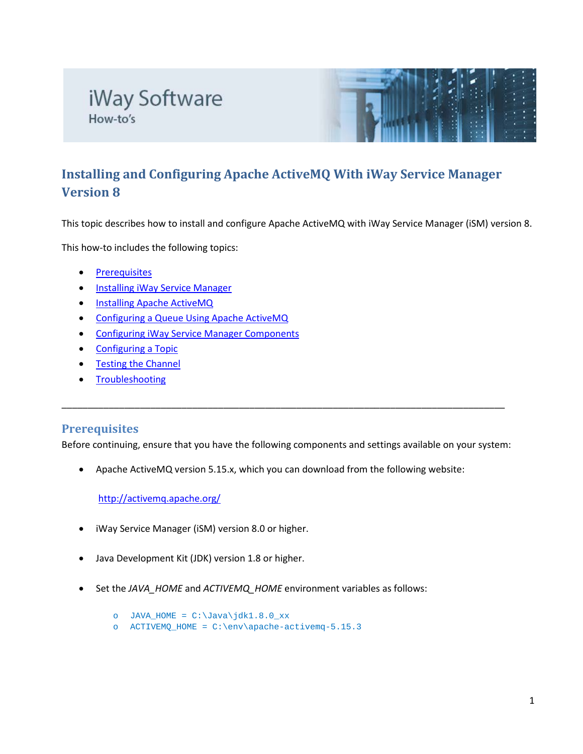# iWay Software How-to's



# **Installing and Configuring Apache ActiveMQ With iWay Service Manager Version 8**

This topic describes how to install and configure Apache ActiveMQ with iWay Service Manager (iSM) version 8.

This how-to includes the following topics:

- [Prerequisites](#page-0-0)
- [Installing iWay Service Manager](#page-1-0)
- **[Installing Apache ActiveMQ](#page-1-1)**
- [Configuring a Queue Using Apache ActiveMQ](#page-1-2)
- [Configuring iWay Service Manager Components](#page-2-0)
- [Configuring a Topic](#page-4-0)
- [Testing the Channel](#page-5-0)
- **[Troubleshooting](#page-6-0)**

#### <span id="page-0-0"></span>**Prerequisites**

Before continuing, ensure that you have the following components and settings available on your system:

\_\_\_\_\_\_\_\_\_\_\_\_\_\_\_\_\_\_\_\_\_\_\_\_\_\_\_\_\_\_\_\_\_\_\_\_\_\_\_\_\_\_\_\_\_\_\_\_\_\_\_\_\_\_\_\_\_\_\_\_\_\_\_\_\_\_\_\_\_\_\_\_\_\_\_\_\_\_\_\_\_\_\_\_\_

• Apache ActiveMQ version 5.15.x, which you can download from the following website:

<http://activemq.apache.org/>

- iWay Service Manager (iSM) version 8.0 or higher.
- Java Development Kit (JDK) version 1.8 or higher.
- Set the *JAVA\_HOME* and *ACTIVEMQ\_HOME* environment variables as follows:
	- o JAVA\_HOME = C:\Java\jdk1.8.0\_xx
	- o ACTIVEMQ\_HOME = C:\env\apache-activemq-5.15.3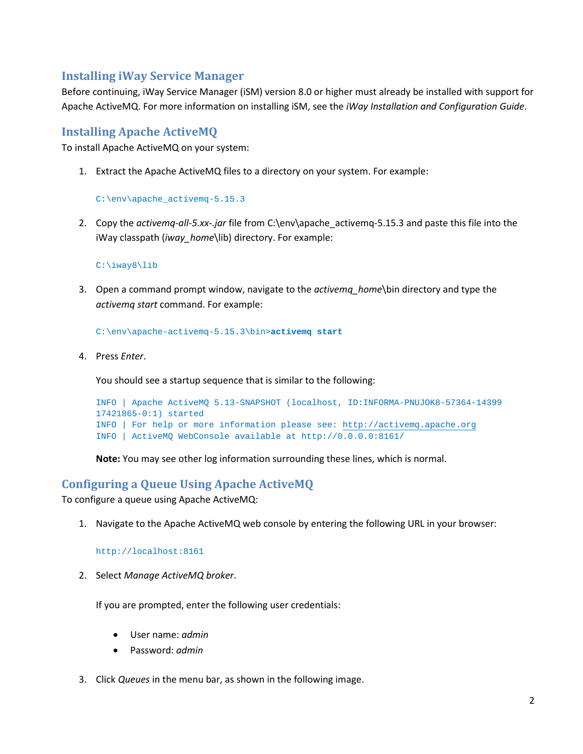### <span id="page-1-0"></span>**Installing iWay Service Manager**

Before continuing, iWay Service Manager (iSM) version 8.0 or higher must already be installed with support for Apache ActiveMQ. For more information on installing iSM, see the *iWay Installation and Configuration Guide*.

#### <span id="page-1-1"></span>**Installing Apache ActiveMQ**

To install Apache ActiveMQ on your system:

1. Extract the Apache ActiveMQ files to a directory on your system. For example:

C:\env\apache\_activemq-5.15.3

2. Copy the *activemq-all-5.xx-.jar* file from C:\env\apache\_activemq-5.15.3 and paste this file into the iWay classpath (*iway\_home*\lib) directory. For example:

#### C:\iway8\lib

3. Open a command prompt window, navigate to the *activemq\_home*\bin directory and type the *activemq start* command. For example:

C:\env\apache-activemq-5.15.3\bin>**activemq start**

4. Press *Enter*.

You should see a startup sequence that is similar to the following:

```
INFO | Apache ActiveMQ 5.13-SNAPSHOT (localhost, ID:INFORMA-PNUJOK8-57364-14399
17421865-0:1) started
INFO | For help or more information please see: http://activemq.apache.org
INFO | ActiveMQ WebConsole available at http://0.0.0.0:8161/
```
**Note:** You may see other log information surrounding these lines, which is normal.

#### <span id="page-1-2"></span>**Configuring a Queue Using Apache ActiveMQ**

To configure a queue using Apache ActiveMQ:

1. Navigate to the Apache ActiveMQ web console by entering the following URL in your browser:

http://localhost:8161

2. Select *Manage ActiveMQ broker*.

If you are prompted, enter the following user credentials:

- User name: *admin*
- Password: *admin*
- 3. Click *Queues* in the menu bar, as shown in the following image.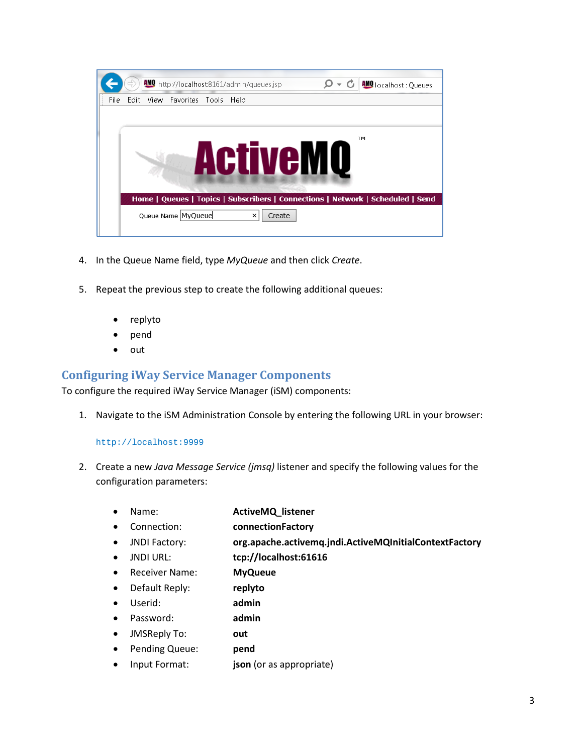

- 4. In the Queue Name field, type *MyQueue* and then click *Create*.
- 5. Repeat the previous step to create the following additional queues:
	- replyto
	- pend
	- out

#### <span id="page-2-0"></span>**Configuring iWay Service Manager Components**

To configure the required iWay Service Manager (iSM) components:

1. Navigate to the iSM Administration Console by entering the following URL in your browser:

#### http://localhost:9999

- 2. Create a new *Java Message Service (jmsq)* listener and specify the following values for the configuration parameters:
	- Name: **ActiveMQ\_listener**
	- Connection: **connectionFactory**
	- JNDI Factory: **org.apache.activemq.jndi.ActiveMQInitialContextFactory**
	- JNDI URL: **tcp://localhost:61616**
	- Receiver Name: **MyQueue**
	- Default Reply: **replyto**
	- Userid: **admin**
	- Password: **admin**
	- JMSReply To: **out**
	- Pending Queue: **pend**
	- Input Format: **json** (or as appropriate)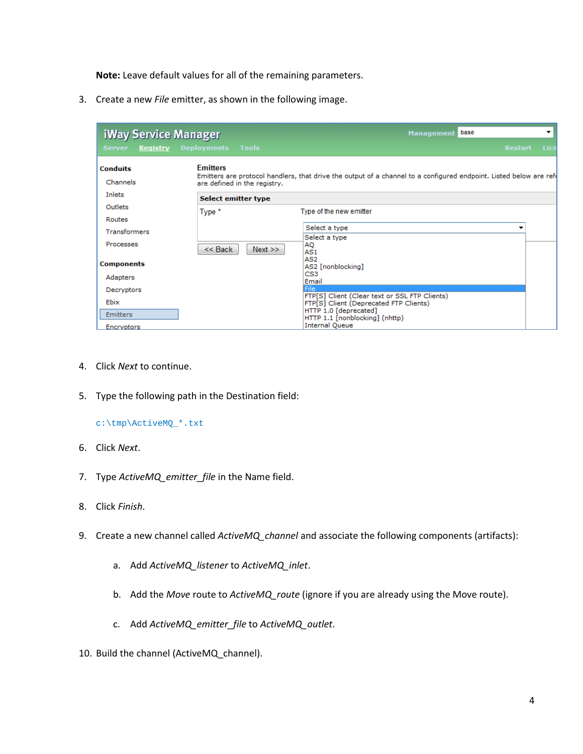**Note:** Leave default values for all of the remaining parameters.

3. Create a new *File* emitter, as shown in the following image.

| <b>iWay Service Manager</b>   |                                                 | base<br>$\overline{\phantom{a}}$<br><b>Management</b>                                                             |  |  |
|-------------------------------|-------------------------------------------------|-------------------------------------------------------------------------------------------------------------------|--|--|
| <b>Server</b><br>Registry     | <b>Deployments</b><br>Tools                     | Lice<br><b>Restart</b>                                                                                            |  |  |
| <b>Conduits</b><br>Channels   | <b>Emitters</b><br>are defined in the registry. | Emitters are protocol handlers, that drive the output of a channel to a configured endpoint. Listed below are ref |  |  |
| Inlets<br>Select emitter type |                                                 |                                                                                                                   |  |  |
| Outlets<br>Type *             |                                                 | Type of the new emitter                                                                                           |  |  |
| Routes                        |                                                 |                                                                                                                   |  |  |
| <b>Transformers</b>           |                                                 | Select a type<br>▼                                                                                                |  |  |
| Processes                     | $<<$ Back<br>Next                               | Select a type<br>AQ<br>AS1                                                                                        |  |  |
| <b>Components</b>             |                                                 | AS <sub>2</sub><br>AS2 [nonblocking]                                                                              |  |  |
| Adapters                      |                                                 | CS <sub>3</sub><br>Email                                                                                          |  |  |
| Decryptors                    |                                                 | <b>File</b>                                                                                                       |  |  |
| Ebix                          |                                                 | FTP[S] Client (Clear text or SSL FTP Clients)<br>FTP[S] Client (Deprecated FTP Clients)                           |  |  |
| <b>Emitters</b>               |                                                 | HTTP 1.0 [deprecated]                                                                                             |  |  |
| Encryptors                    |                                                 | HTTP 1.1 [nonblocking] (nhttp)<br><b>Internal Queue</b>                                                           |  |  |

- 4. Click *Next* to continue.
- 5. Type the following path in the Destination field:

c:\tmp\ActiveMQ\_\*.txt

- 6. Click *Next*.
- 7. Type *ActiveMQ\_emitter\_file* in the Name field.
- 8. Click *Finish*.
- 9. Create a new channel called *ActiveMQ\_channel* and associate the following components (artifacts):
	- a. Add *ActiveMQ\_listener* to *ActiveMQ\_inlet*.
	- b. Add the *Move* route to *ActiveMQ\_route* (ignore if you are already using the Move route).
	- c. Add *ActiveMQ\_emitter\_file* to *ActiveMQ\_outlet*.
- 10. Build the channel (ActiveMQ\_channel).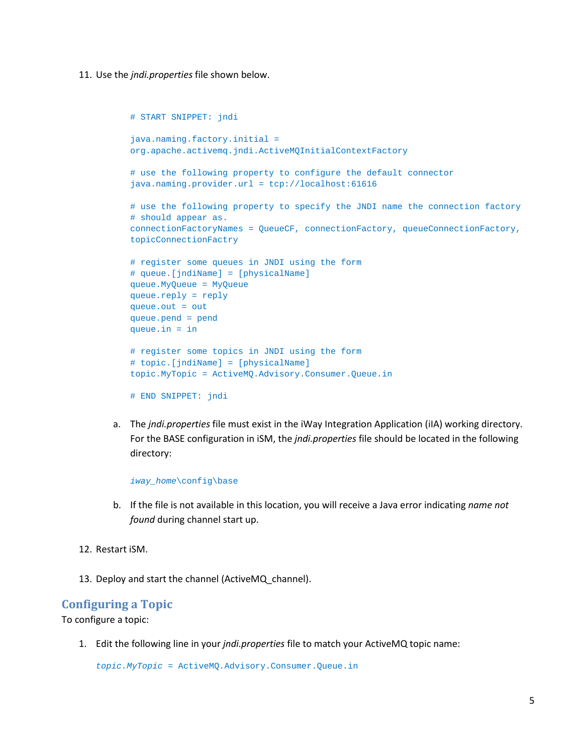11. Use the *jndi.properties* file shown below.

```
# START SNIPPET: jndi
java.naming.factory.initial =
org.apache.activemq.jndi.ActiveMQInitialContextFactory
# use the following property to configure the default connector
java.naming.provider.url = tcp://localhost:61616
# use the following property to specify the JNDI name the connection factory
# should appear as.
connectionFactoryNames = QueueCF, connectionFactory, queueConnectionFactory, 
topicConnectionFactry
# register some queues in JNDI using the form
# queue.[jndiName] = [physicalName]
queue.MyQueue = MyQueue
queue.reply = reply
queue.out = out
queue.pend = pend
queue.in = in
# register some topics in JNDI using the form
# topic.[jndiName] = [physicalName]
topic.MyTopic = ActiveMQ.Advisory.Consumer.Queue.in
# END SNIPPET: jndi
```
a. The *jndi.properties* file must exist in the iWay Integration Application (iIA) working directory. For the BASE configuration in iSM, the *jndi.properties* file should be located in the following directory:

*iway\_home*\config\base

- b. If the file is not available in this location, you will receive a Java error indicating *name not found* during channel start up.
- 12. Restart iSM.
- 13. Deploy and start the channel (ActiveMQ\_channel).

#### <span id="page-4-0"></span>**Configuring a Topic**

To configure a topic:

1. Edit the following line in your *jndi.properties* file to match your ActiveMQ topic name:

*topic.MyTopic* = ActiveMQ.Advisory.Consumer.Queue.in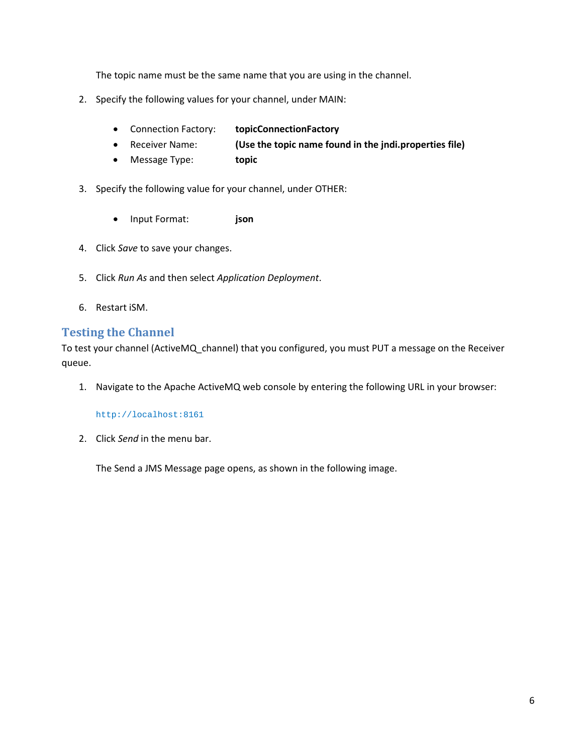The topic name must be the same name that you are using in the channel.

- 2. Specify the following values for your channel, under MAIN:
	- Connection Factory: **topicConnectionFactory**
	- Receiver Name: **(Use the topic name found in the jndi.properties file)**
	- Message Type: **topic**
- 3. Specify the following value for your channel, under OTHER:
	- Input Format: **json**
- 4. Click *Save* to save your changes.
- 5. Click *Run As* and then select *Application Deployment*.
- 6. Restart iSM.

#### <span id="page-5-0"></span>**Testing the Channel**

To test your channel (ActiveMQ\_channel) that you configured, you must PUT a message on the Receiver queue.

1. Navigate to the Apache ActiveMQ web console by entering the following URL in your browser:

http://localhost:8161

2. Click *Send* in the menu bar.

The Send a JMS Message page opens, as shown in the following image.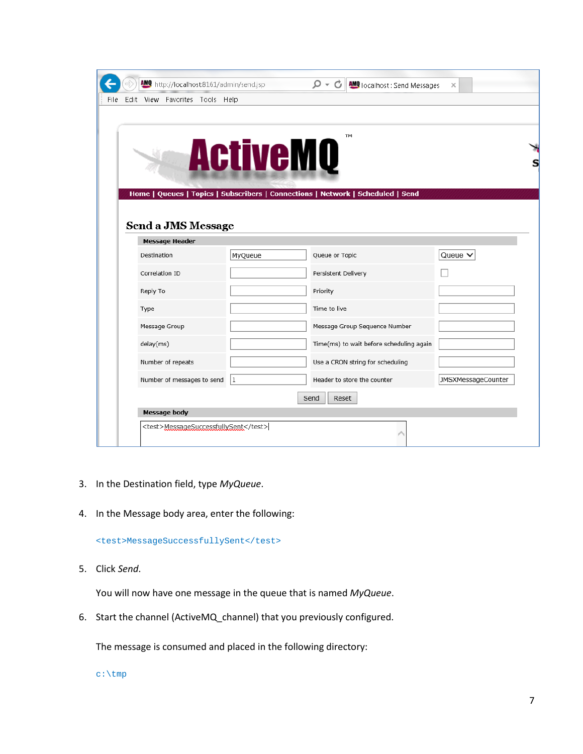|      |                                                    | AMO http://localhost:8161/admin/send.jsp |                 | - م<br>G<br><b>AMO</b> localhost: Send Messages                                       | $\times$           |  |  |  |
|------|----------------------------------------------------|------------------------------------------|-----------------|---------------------------------------------------------------------------------------|--------------------|--|--|--|
| File |                                                    | Edit View Favorites Tools Help           |                 |                                                                                       |                    |  |  |  |
|      |                                                    |                                          | <b>ActiveMQ</b> | TM<br>Home   Queues   Topics   Subscribers   Connections   Network   Scheduled   Send |                    |  |  |  |
|      | <b>Send a JMS Message</b><br><b>Message Header</b> |                                          |                 |                                                                                       |                    |  |  |  |
|      |                                                    | Destination                              | MyQueue         | Queue or Topic                                                                        | Queue $\vee$       |  |  |  |
|      |                                                    | Correlation ID                           |                 | Persistent Delivery                                                                   |                    |  |  |  |
|      |                                                    | Reply To                                 |                 | Priority                                                                              |                    |  |  |  |
|      |                                                    | Type                                     |                 | Time to live                                                                          |                    |  |  |  |
|      |                                                    | Message Group                            |                 | Message Group Sequence Number                                                         |                    |  |  |  |
|      |                                                    | delay(ms)                                |                 | Time(ms) to wait before scheduling again                                              |                    |  |  |  |
|      |                                                    | Number of repeats                        |                 | Use a CRON string for scheduling                                                      |                    |  |  |  |
|      |                                                    | Number of messages to send               | 1               | Header to store the counter                                                           | JMSXMessageCounter |  |  |  |
|      | Reset<br>Send                                      |                                          |                 |                                                                                       |                    |  |  |  |
|      |                                                    | Message body                             |                 |                                                                                       |                    |  |  |  |
|      | <test>MessageSuccessfullySent</test>               |                                          |                 |                                                                                       |                    |  |  |  |

- 3. In the Destination field, type *MyQueue*.
- 4. In the Message body area, enter the following:

<test>MessageSuccessfullySent</test>

5. Click *Send*.

You will now have one message in the queue that is named *MyQueue*.

6. Start the channel (ActiveMQ\_channel) that you previously configured.

The message is consumed and placed in the following directory:

<span id="page-6-0"></span>c:\tmp